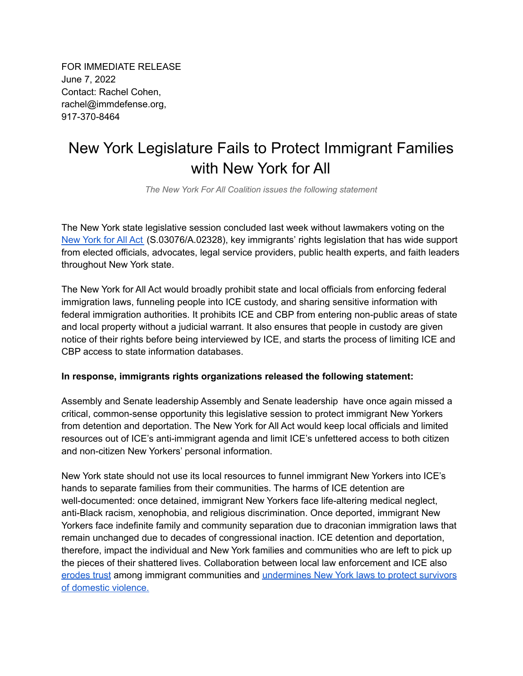FOR IMMEDIATE RELEASE June 7, 2022 Contact: Rachel Cohen, rachel@immdefense.org, 917-370-8464

## New York Legislature Fails to Protect Immigrant Families with New York for All

*The New York For All Coalition issues the following statement*

The New York state legislative session concluded last week without lawmakers voting on the [New](https://nyassembly.gov/leg/?term=2021&bn=S03076) York for All Act (S.03076/A.02328), key immigrants' rights legislation that has wide support from elected officials, advocates, legal service providers, public health experts, and faith leaders throughout New York state.

The New York for All Act would broadly prohibit state and local officials from enforcing federal immigration laws, funneling people into ICE custody, and sharing sensitive information with federal immigration authorities. It prohibits ICE and CBP from entering non-public areas of state and local property without a judicial warrant. It also ensures that people in custody are given notice of their rights before being interviewed by ICE, and starts the process of limiting ICE and CBP access to state information databases.

## **In response, immigrants rights organizations released the following statement:**

Assembly and Senate leadership Assembly and Senate leadership have once again missed a critical, common-sense opportunity this legislative session to protect immigrant New Yorkers from detention and deportation. The New York for All Act would keep local officials and limited resources out of ICE's anti-immigrant agenda and limit ICE's unfettered access to both citizen and non-citizen New Yorkers' personal information.

New York state should not use its local resources to funnel immigrant New Yorkers into ICE's hands to separate families from their communities. The harms of ICE detention are well-documented: once detained, immigrant New Yorkers face life-altering medical neglect, anti-Black racism, xenophobia, and religious discrimination. Once deported, immigrant New Yorkers face indefinite family and community separation due to draconian immigration laws that remain unchanged due to decades of congressional inaction. ICE detention and deportation, therefore, impact the individual and New York families and communities who are left to pick up the pieces of their shattered lives. Collaboration between local law enforcement and ICE also [erodes](https://www.amny.com/opinion/op-ed-law-enforcement-must-earn-trust-to-keep-the-public-safe-regardless-of-immigration-status/) trust among immigrant communities and [undermines](https://documentedny.com/2022/04/18/this-law-is-supposed-to-reunite-imprisoned-survivors-with-their-families-did-it-lead-to-one-womans-deportation/) New York laws to protect survivors of [domestic](https://documentedny.com/2022/04/18/this-law-is-supposed-to-reunite-imprisoned-survivors-with-their-families-did-it-lead-to-one-womans-deportation/) violence.